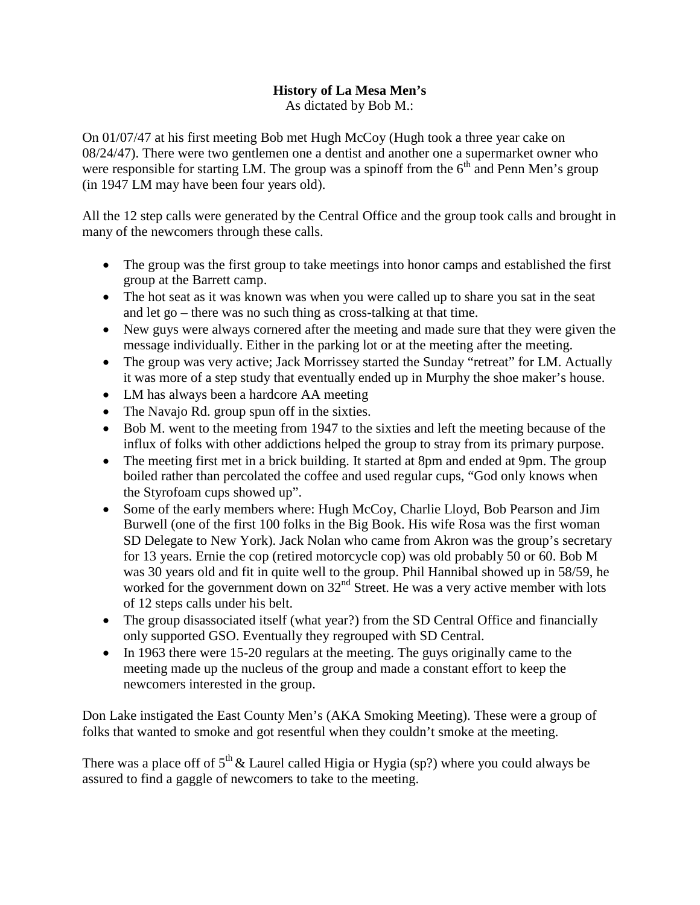## **History of La Mesa Men's**

As dictated by Bob M.:

On 01/07/47 at his first meeting Bob met Hugh McCoy (Hugh took a three year cake on 08/24/47). There were two gentlemen one a dentist and another one a supermarket owner who were responsible for starting LM. The group was a spinoff from the  $6<sup>th</sup>$  and Penn Men's group (in 1947 LM may have been four years old).

All the 12 step calls were generated by the Central Office and the group took calls and brought in many of the newcomers through these calls.

- The group was the first group to take meetings into honor camps and established the first group at the Barrett camp.
- The hot seat as it was known was when you were called up to share you sat in the seat and let go – there was no such thing as cross-talking at that time.
- New guys were always cornered after the meeting and made sure that they were given the message individually. Either in the parking lot or at the meeting after the meeting.
- The group was very active; Jack Morrissey started the Sunday "retreat" for LM. Actually it was more of a step study that eventually ended up in Murphy the shoe maker's house.
- LM has always been a hardcore AA meeting
- The Navajo Rd. group spun off in the sixties.
- Bob M, went to the meeting from 1947 to the sixties and left the meeting because of the influx of folks with other addictions helped the group to stray from its primary purpose.
- The meeting first met in a brick building. It started at 8pm and ended at 9pm. The group boiled rather than percolated the coffee and used regular cups, "God only knows when the Styrofoam cups showed up".
- Some of the early members where: Hugh McCoy, Charlie Lloyd, Bob Pearson and Jim Burwell (one of the first 100 folks in the Big Book. His wife Rosa was the first woman SD Delegate to New York). Jack Nolan who came from Akron was the group's secretary for 13 years. Ernie the cop (retired motorcycle cop) was old probably 50 or 60. Bob M was 30 years old and fit in quite well to the group. Phil Hannibal showed up in 58/59, he worked for the government down on  $32<sup>nd</sup>$  Street. He was a very active member with lots of 12 steps calls under his belt.
- The group disassociated itself (what year?) from the SD Central Office and financially only supported GSO. Eventually they regrouped with SD Central.
- In 1963 there were 15-20 regulars at the meeting. The guys originally came to the meeting made up the nucleus of the group and made a constant effort to keep the newcomers interested in the group.

Don Lake instigated the East County Men's (AKA Smoking Meeting). These were a group of folks that wanted to smoke and got resentful when they couldn't smoke at the meeting.

There was a place off of  $5<sup>th</sup>$  & Laurel called Higia or Hygia (sp?) where you could always be assured to find a gaggle of newcomers to take to the meeting.